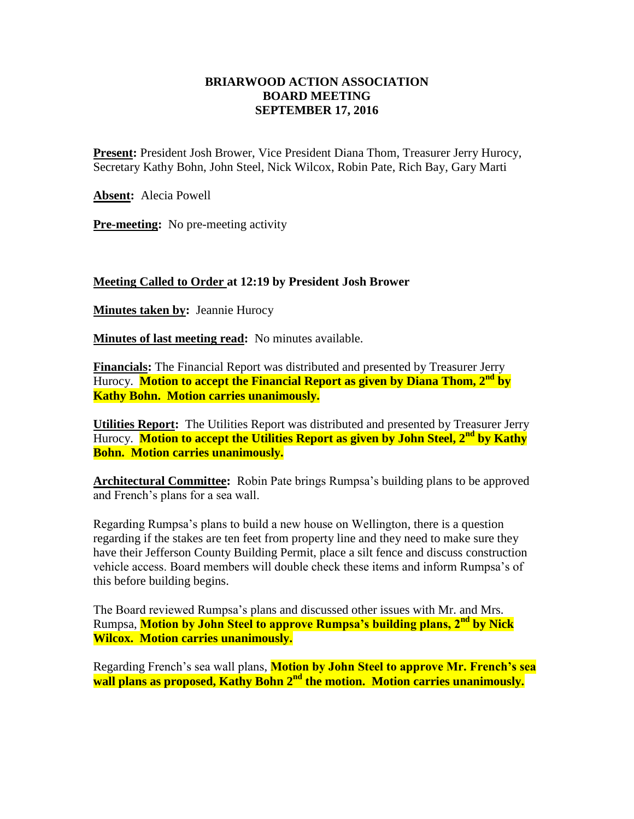## **BRIARWOOD ACTION ASSOCIATION BOARD MEETING SEPTEMBER 17, 2016**

**Present:** President Josh Brower, Vice President Diana Thom, Treasurer Jerry Hurocy, Secretary Kathy Bohn, John Steel, Nick Wilcox, Robin Pate, Rich Bay, Gary Marti

**Absent:** Alecia Powell

**Pre-meeting:** No pre-meeting activity

## **Meeting Called to Order at 12:19 by President Josh Brower**

**Minutes taken by:** Jeannie Hurocy

**Minutes of last meeting read:** No minutes available.

**Financials:** The Financial Report was distributed and presented by Treasurer Jerry Hurocy. **Motion to accept the Financial Report as given by Diana Thom, 2nd by Kathy Bohn. Motion carries unanimously.**

**Utilities Report:** The Utilities Report was distributed and presented by Treasurer Jerry Hurocy. **Motion to accept the Utilities Report as given by John Steel, 2nd by Kathy Bohn. Motion carries unanimously.**

**Architectural Committee:** Robin Pate brings Rumpsa's building plans to be approved and French's plans for a sea wall.

Regarding Rumpsa's plans to build a new house on Wellington, there is a question regarding if the stakes are ten feet from property line and they need to make sure they have their Jefferson County Building Permit, place a silt fence and discuss construction vehicle access. Board members will double check these items and inform Rumpsa's of this before building begins.

The Board reviewed Rumpsa's plans and discussed other issues with Mr. and Mrs. Rumpsa, **Motion by John Steel to approve Rumpsa's building plans, 2nd by Nick Wilcox. Motion carries unanimously.**

Regarding French's sea wall plans, **Motion by John Steel to approve Mr. French's sea wall plans as proposed, Kathy Bohn 2nd the motion. Motion carries unanimously.**